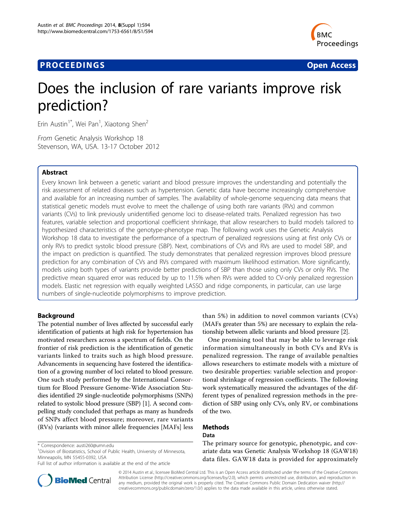# **PROCEEDINGS CONSUMING S** Open Access **CONSUMING S**



# Does the inclusion of rare variants improve risk prediction?

Erin Austin<sup>1\*</sup>, Wei Pan<sup>1</sup>, Xiaotong Shen<sup>2</sup>

From Genetic Analysis Workshop 18 Stevenson, WA, USA. 13-17 October 2012

# Abstract

Every known link between a genetic variant and blood pressure improves the understanding and potentially the risk assessment of related diseases such as hypertension. Genetic data have become increasingly comprehensive and available for an increasing number of samples. The availability of whole-genome sequencing data means that statistical genetic models must evolve to meet the challenge of using both rare variants (RVs) and common variants (CVs) to link previously unidentified genome loci to disease-related traits. Penalized regression has two features, variable selection and proportional coefficient shrinkage, that allow researchers to build models tailored to hypothesized characteristics of the genotype-phenotype map. The following work uses the Genetic Analysis Workshop 18 data to investigate the performance of a spectrum of penalized regressions using at first only CVs or only RVs to predict systolic blood pressure (SBP). Next, combinations of CVs and RVs are used to model SBP, and the impact on prediction is quantified. The study demonstrates that penalized regression improves blood pressure prediction for any combination of CVs and RVs compared with maximum likelihood estimation. More significantly, models using both types of variants provide better predictions of SBP than those using only CVs or only RVs. The predictive mean squared error was reduced by up to 11.5% when RVs were added to CV-only penalized regression models. Elastic net regression with equally weighted LASSO and ridge components, in particular, can use large numbers of single-nucleotide polymorphisms to improve prediction.

# Background

The potential number of lives affected by successful early identification of patients at high risk for hypertension has motivated researchers across a spectrum of fields. On the frontier of risk prediction is the identification of genetic variants linked to traits such as high blood pressure. Advancements in sequencing have fostered the identification of a growing number of loci related to blood pressure. One such study performed by the International Consortium for Blood Pressure Genome-Wide Association Studies identified 29 single-nucleotide polymorphisms (SNPs) related to systolic blood pressure (SBP) [\[1](#page-4-0)]. A second compelling study concluded that perhaps as many as hundreds of SNPs affect blood pressure; moreover, rare variants (RVs) (variants with minor allele frequencies [MAFs] less



One promising tool that may be able to leverage risk information simultaneously in both CVs and RVs is penalized regression. The range of available penalties allows researchers to estimate models with a mixture of two desirable properties: variable selection and proportional shrinkage of regression coefficients. The following work systematically measured the advantages of the different types of penalized regression methods in the prediction of SBP using only CVs, only RV, or combinations of the two.

#### Methods Data

The primary source for genotypic, phenotypic, and covariate data was Genetic Analysis Workshop 18 (GAW18) data files. GAW18 data is provided for approximately



© 2014 Austin et al.; licensee BioMed Central Ltd. This is an Open Access article distributed under the terms of the Creative Commons Attribution License [\(http://creativecommons.org/licenses/by/2.0](http://creativecommons.org/licenses/by/2.0)), which permits unrestricted use, distribution, and reproduction in any medium, provided the original work is properly cited. The Creative Commons Public Domain Dedication waiver [\(http://](http://creativecommons.org/publicdomain/zero/1.0/) [creativecommons.org/publicdomain/zero/1.0/](http://creativecommons.org/publicdomain/zero/1.0/)) applies to the data made available in this article, unless otherwise stated.

<sup>\*</sup> Correspondence: [austi260@umn.edu](mailto:austi260@umn.edu)

<sup>&</sup>lt;sup>1</sup> Division of Biostatistics, School of Public Health, University of Minnesota, Minneapolis, MN 55455-0392, USA

Full list of author information is available at the end of the article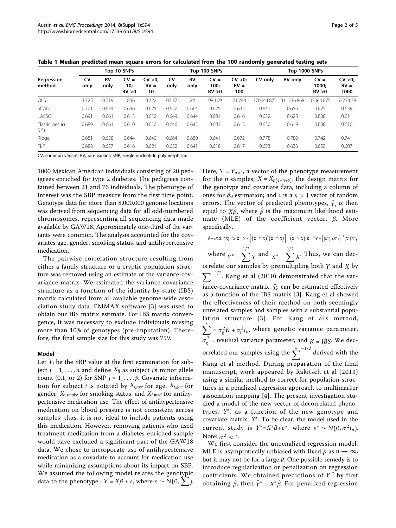<span id="page-1-0"></span>

| Table 1 Median predicted mean square errors for calculated from the 100 randomly generated testing sets |  |  |
|---------------------------------------------------------------------------------------------------------|--|--|
|---------------------------------------------------------------------------------------------------------|--|--|

|                                   | Top 10 SNPs |            |                            | Top 100 SNPs          |            |            |                          | Top 1000 SNPs          |            |                |                           |                         |
|-----------------------------------|-------------|------------|----------------------------|-----------------------|------------|------------|--------------------------|------------------------|------------|----------------|---------------------------|-------------------------|
| Regression<br>method              | CV<br>only  | RV<br>only | CV<br>' =<br>10;<br>RV > 0 | CV >0<br>$RV =$<br>10 | CV<br>only | RV<br>only | $CV =$<br>100;<br>RV > 0 | CV >0<br>$RV =$<br>100 | CV only    | <b>RV</b> only | $CV =$<br>1000:<br>RV > 0 | CV >0<br>$RV =$<br>1000 |
| OLS                               | 3.723       | 0.719      | .856                       | 0.722                 | 107.775    | 24         | 98.109                   | 21.748                 | 370644.875 | 311336.868     | 37064.875                 | 63274.28                |
| <b>SCAD</b>                       | 0.701       | 0.674      | 0.636                      | 0.625                 | 0.657      | 0.664      | 0.625                    | 0.635                  | 0.641      | 0.656          | 0.625                     | 0.639                   |
| LASSO                             | 0.691       | 0.661      | 0.613                      | 0.612                 | 0.649      | 0.644      | 0.601                    | 0.616                  | 0.632      | 0.625          | 0.608                     | 0.611                   |
| Elastic net ( $\alpha$ =<br>(0.5) | 0.689       | 0.661      | 0.610                      | 0.610                 | 0.646      | 0.643      | 0.601                    | 0.613                  | 0.630      | 0.619          | 0.608                     | 0.610                   |
| Ridge                             | 0.681       | 0.658      | 0.644                      | 0.640                 | 0.664      | 0.680      | 0.641                    | 0.672                  | 0.778      | 0.780          | 0.742                     | 0.741                   |
| TI <sub>P</sub>                   | 0.688       | 0.657      | 0.616                      | 0.621                 | 0.652      | 0.641      | 0.618                    | 0.617                  | 0.653      | 0.633          | 0.653                     | 0.607                   |

CV, common variant; RV, rare variant; SNP, single nucleotide polymorphism.

1000 Mexican American individuals consisting of 20 pedigrees enriched for type 2 diabetes. The pedigrees contained between 21 and 76 individuals. The phenotype of interest was the SBP measure from the first time point. Genotype data for more than 8,000,000 genome locations was derived from sequencing data for all odd-numbered chromosomes, representing all sequencing data made available by GAW18. Approximately one-third of the variants were common. The analysis accounted for the covariates age, gender, smoking status, and antihypertensive medication.

The pairwise correlation structure resulting from either a family structure or a cryptic population structure was removed using an estimate of the variance-covariance matrix. We estimated the variance-covariance structure as a function of the identity-by-state (IBS) matrix calculated from all available genome-wide association study data. EMMAX software [[3](#page-4-0)] was used to obtain our IBS matrix estimate. For IBS matrix convergence, it was necessary to exclude individuals missing more than 10% of genotypes (pre-imputation). Therefore, the final sample size for this study was 759.

#### Model

Let  $Y_i$  be the SBP value at the first examination for subject  $i = 1, \ldots, n$  and define  $X_{ij}$  as subject *i*'s minor allele count (0,1, or 2) for SNP  $j = 1, \ldots, p$ . Covariate information for subject *i* is notated by *Xi*,*age* for age, *Xi*,*gen* for gender, *Xi*,*smoke* for smoking status, and *Xi*,*med* for antihypertensive medication use. The effect of antihypertensive medication on blood pressure is not consistent across samples; thus, it is not ideal to include patients using this medication. However, removing patients who used treatment medication from a diabetes-enriched sample would have excluded a significant part of the GAW18 data. We chose to incorporate use of antihypertensive medication as a covariate to account for medication use while minimizing assumptions about its impact on SBP. We assumed the following model relates the genotypic data to the phenotype : *Y* = *Xβ* +  $\varepsilon$ , where  $\varepsilon \sim N(0, \sum)$ .

Here,  $Y = Y_{n \times 1}$ , a vector of the phenotype measurement for the *n* samples;  $X = X_{n(1+4+p)}$ , the design matrix for the genotype and covariate data, including a column of ones for  $\beta_0$  estimation; and  $\varepsilon$  is a  $n \times 1$  vector of random errors. The vector of predicted phenotypes,  $\hat{y}$  is then equal to  $X\hat{\beta}$ , where  $\hat{\beta}$  is the maximum likelihood estimate (MLE) of the coefficient vector,  $\beta$ . More specifically,

 $\hat{\beta} = (X' \Sigma^{-1} X)^{-1} X' \Sigma^{-1} Y = \left[ \left( \Sigma^{-1/2} X \right)' \left( \Sigma^{-1/2} X \right) \right]^{-1} \left( \Sigma^{-1/2} X \right)' \Sigma^{-1/2} Y = \left[ \left( X^* \right)' \left( X^* \right) \right]^{-1} \left( X^* \right)' Y^*$ where  $Y^* = \sum_{i=1}^{1/2} Y_i$  and  $X^* = \sum_{i=1}^{1/2} X_i$ . Thus, we can decorrelate our samples by premultipling both *Y* and *X* by  $\sum_{n=1}$ <sup>-1/2</sup>. Kang et al (2010) demonstrated that the variance-covariance matrix,  $\hat{\Sigma}$ , can be estimated effectively as a function of the IBS matrix [\[3](#page-4-0)]. Kang et al showed the effectiveness of their method on both seemingly unrelated samples and samples with a substantial population structure [[3](#page-4-0)]. For Kang et al's method,  $\sum = \sigma_g^2 K + \sigma_r^2 I_n$ , where genetic variance parameter,  $\sigma_g^2$  = residual variance parameter, and  $K = I\hat{B}S$ . We decorrelated our samples using the  $\hat{\Sigma}^{-1/2}$  derived with the Kang et al method. During preparation of the final manuscript, work appeared by Rakitsch et al (2013) using a similar method to correct for population structures in a penalized regression approach to multimarker association mapping [\[4](#page-4-0)]. The present investigation studied a model of the new vector of decorrelated phenotypes,  $Y^*$ , as a function of the new genotype and covariate matrix,  $X^*$ . To be clear, the model used in the current study is  $Y^* = X^* \beta + \varepsilon^*$ , where  $\varepsilon^* \sim N(0, \sigma^2 I_n)$ . Note:  $\sigma^2 \approx 1$ .

We first consider the unpenalized regression model. MLE is asymptotically unbiased with fixed *p* as  $n \to \infty$ , but it may not be for a large *p*. One possible remedy is to introduce regularization or penalization on regression coefficients. We obtained predictions of  $Y^*$  by first obtaining  $\hat{\beta}$ , then  $\hat{Y}^* = X^* \hat{\beta}$ . For penalized regression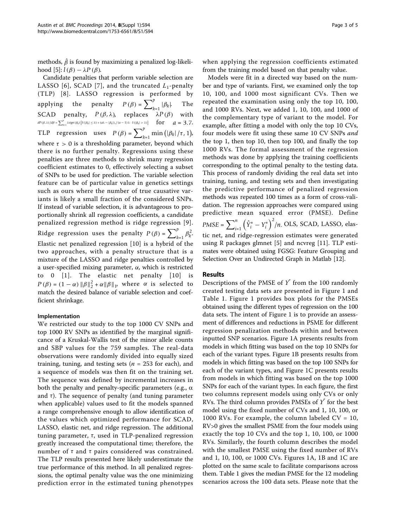methods,  $\hat{\beta}$  is found by maximizing a penalized log-likelihood  $[5]$  $[5]$ :  $l(\beta) - \lambda P(\beta)$ .

Candidate penalties that perform variable selection are LASSO [[6](#page-4-0)], SCAD [[7\]](#page-4-0), and the truncated  $L_1$ -penalty (TLP) [[8](#page-4-0)]. LASSO regression is performed by applying the penalty  $P(\beta) = \sum_{k=1}^{p} |\beta_k|$ . The SCAD penalty,  $P(\beta, \lambda)$ , replaces  $\lambda P(\beta)$  with  $dP(\beta, \lambda)/d\beta = \sum_{k=1}^p \lambda sign(\beta_k) \left[ I(|\beta_k| \leq \lambda) + (a\lambda - |\beta_k|)_*\right] \cdot (a-1)\lambda \cdot I(|\beta_k| > \lambda) \right]$  **for**  $a = 3.7$ . TLP regression uses  $P(\beta) = \sum_{k=1}^{p} \min(|\beta_k|/\tau, 1)$ , where  $\tau > 0$  is a thresholding parameter, beyond which there is no further penalty. Regressions using these penalties are three methods to shrink many regression coefficient estimates to 0, effectively selecting a subset of SNPs to be used for prediction. The variable selection feature can be of particular value in genetics settings such as ours where the number of true causative variants is likely a small fraction of the considered SNPs. If instead of variable selection, it is advantageous to proportionally shrink all regression coefficients, a candidate penalized regression method is ridge regression [\[9\]](#page-4-0). Ridge regression uses the penalty  $P(\beta) = \sum_{k=1}^{p} \beta_k^2$ . Elastic net penalized regression [[10](#page-4-0)] is a hybrid of the two approaches, with a penalty structure that is a mixture of the LASSO and ridge penalties controlled by a user-specified mixing parameter, α, which is restricted to 0 [[1\]](#page-4-0). The elastic net penalty [[10](#page-4-0)] is  $P(\beta) = (1 - \alpha) ||\beta||_2^2 + \alpha ||\beta||_1$ , where  $\alpha$  is selected to match the desired balance of variable selection and coefficient shrinkage.

#### Implementation

We restricted our study to the top 1000 CV SNPs and top 1000 RV SNPs as identified by the marginal significance of a Kruskal-Wallis test of the minor allele counts and SBP values for the 759 samples. The real-data observations were randomly divided into equally sized training, tuning, and testing sets ( $n = 253$  for each), and a sequence of models was then fit on the training set. The sequence was defined by incremental increases in both the penalty and penalty-specific parameters (e.g.,  $\alpha$ and  $\tau$ ). The sequence of penalty (and tuning parameter when applicable) values used to fit the models spanned a range comprehensive enough to allow identification of the values which optimized performance for SCAD, LASSO, elastic net, and ridge regression. The additional tuning parameter,  $\tau$ , used in TLP-penalized regression greatly increased the computational time; therefore, the number of  $\tau$  and  $\tau$  pairs considered was constrained. The TLP results presented here likely underestimate the true performance of this method. In all penalized regressions, the optimal penalty value was the one minimizing prediction error in the estimated tuning phenotypes

from the training model based on that penalty value. Models were fit in a directed way based on the number and type of variants. First, we examined only the top 10, 100, and 1000 most significant CVs. Then we repeated the examination using only the top 10, 100, and 1000 RVs. Next, we added 1, 10, 100, and 1000 of the complementary type of variant to the model. For example, after fitting a model with only the top 10 CVs, four models were fit using these same 10 CV SNPs and the top 1, then top 10, then top 100, and finally the top 1000 RVs. The formal assessment of the regression methods was done by applying the training coefficients corresponding to the optimal penalty to the testing data. This process of randomly dividing the real data set into training, tuning, and testing sets and then investigating the predictive performance of penalized regression methods was repeated 100 times as a form of cross-validation. The regression approaches were compared using predictive mean squared error (PMSE). Define  $PMSE = \sum_{i=1}^{n} (\hat{Y}_{i}^{*} - Y_{i}^{*})^{2}/n$ . OLS, SCAD, LASSO, elastic net, and ridge-regression estimates were generated using R packages glmnet [[5\]](#page-4-0) and ncvreg [[11\]](#page-4-0). TLP estimates were obtained using FGSG: Feature Grouping and Selection Over an Undirected Graph in Matlab [[12\]](#page-4-0).

when applying the regression coefficients estimated

## Results

Descriptions of the PMSE of  $Y^*$  from the 100 randomly created testing data sets are presented in Figure [1](#page-3-0) and Table [1.](#page-1-0) Figure [1](#page-3-0) provides box plots for the PMSEs obtained using the different types of regression on the 100 data sets. The intent of Figure [1](#page-3-0) is to provide an assessment of differences and reductions in PSME for different regression penalization methods within and between inputted SNP scenarios. Figure [1A](#page-3-0) presents results from models in which fitting was based on the top 10 SNPs for each of the variant types. Figure [1B](#page-3-0) presents results from models in which fitting was based on the top 100 SNPs for each of the variant types, and Figure [1C](#page-3-0) presents results from models in which fitting was based on the top 1000 SNPs for each of the variant types. In each figure, the first two columns represent models using only CVs or only RVs. The third column provides PMSEs of  $Y<sup>2</sup>$  for the best model using the fixed number of CVs and 1, 10, 100, or 1000 RVs. For example, the column labeled  $CV = 10$ , RV>0 gives the smallest PSME from the four models using exactly the top 10 CVs and the top 1, 10, 100, or 1000 RVs. Similarly, the fourth column describes the model with the smallest PMSE using the fixed number of RVs and 1, 10, 100, or 1000 CVs. Figures [1A](#page-3-0), [1B](#page-3-0) and [1C](#page-3-0) are plotted on the same scale to facilitate comparisons across them. Table [1](#page-1-0) gives the median PMSE for the 12 modeling scenarios across the 100 data sets. Please note that the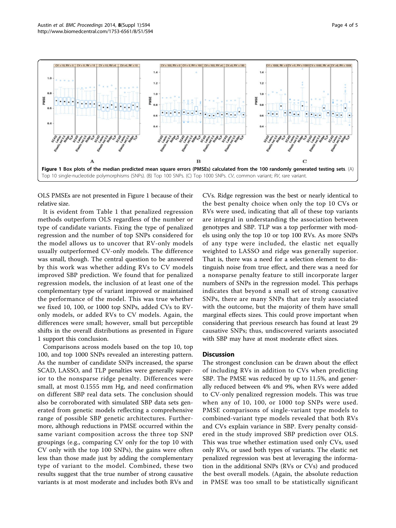<span id="page-3-0"></span>

OLS PMSEs are not presented in Figure 1 because of their relative size.

It is evident from Table [1](#page-1-0) that penalized regression methods outperform OLS regardless of the number or type of candidate variants. Fixing the type of penalized regression and the number of top SNPs considered for the model allows us to uncover that RV-only models usually outperformed CV-only models. The difference was small, though. The central question to be answered by this work was whether adding RVs to CV models improved SBP prediction. We found that for penalized regression models, the inclusion of at least one of the complementary type of variant improved or maintained the performance of the model. This was true whether we fixed 10, 100, or 1000 top SNPs, added CVs to RVonly models, or added RVs to CV models. Again, the differences were small; however, small but perceptible shifts in the overall distributions as presented in Figure 1 support this conclusion.

Comparisons across models based on the top 10, top 100, and top 1000 SNPs revealed an interesting pattern. As the number of candidate SNPs increased, the sparse SCAD, LASSO, and TLP penalties were generally superior to the nonsparse ridge penalty. Differences were small, at most 0.1555 mm Hg, and need confirmation on different SBP real data sets. The conclusion should also be corroborated with simulated SBP data sets generated from genetic models reflecting a comprehensive range of possible SBP genetic architectures. Furthermore, although reductions in PMSE occurred within the same variant composition across the three top SNP groupings (e.g., comparing CV only for the top 10 with CV only with the top 100 SNPs), the gains were often less than those made just by adding the complementary type of variant to the model. Combined, these two results suggest that the true number of strong causative variants is at most moderate and includes both RVs and

CVs. Ridge regression was the best or nearly identical to the best penalty choice when only the top 10 CVs or RVs were used, indicating that all of these top variants are integral in understanding the association between genotypes and SBP. TLP was a top performer with models using only the top 10 or top 100 RVs. As more SNPs of any type were included, the elastic net equally weighted to LASSO and ridge was generally superior. That is, there was a need for a selection element to distinguish noise from true effect, and there was a need for a nonsparse penalty feature to still incorporate larger numbers of SNPs in the regression model. This perhaps indicates that beyond a small set of strong causative SNPs, there are many SNPs that are truly associated with the outcome, but the majority of them have small marginal effects sizes. This could prove important when considering that previous research has found at least 29 causative SNPs; thus, undiscovered variants associated with SBP may have at most moderate effect sizes.

# **Discussion**

The strongest conclusion can be drawn about the effect of including RVs in addition to CVs when predicting SBP. The PMSE was reduced by up to 11.5%, and generally reduced between 4% and 9%, when RVs were added to CV-only penalized regression models. This was true when any of 10, 100, or 1000 top SNPs were used. PMSE comparisons of single-variant type models to combined-variant type models revealed that both RVs and CVs explain variance in SBP. Every penalty considered in the study improved SBP prediction over OLS. This was true whether estimation used only CVs, used only RVs, or used both types of variants. The elastic net penalized regression was best at leveraging the information in the additional SNPs (RVs or CVs) and produced the best overall models. (Again, the absolute reduction in PMSE was too small to be statistically significant